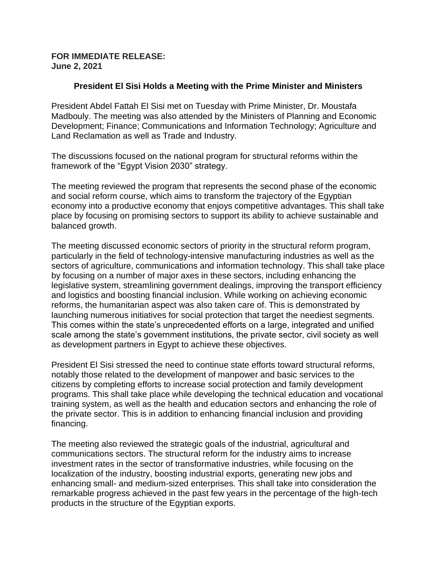## **FOR IMMEDIATE RELEASE: June 2, 2021**

## **President El Sisi Holds a Meeting with the Prime Minister and Ministers**

President Abdel Fattah El Sisi met on Tuesday with Prime Minister, Dr. Moustafa Madbouly. The meeting was also attended by the Ministers of Planning and Economic Development; Finance; Communications and Information Technology; Agriculture and Land Reclamation as well as Trade and Industry.

The discussions focused on the national program for structural reforms within the framework of the "Egypt Vision 2030" strategy.

The meeting reviewed the program that represents the second phase of the economic and social reform course, which aims to transform the trajectory of the Egyptian economy into a productive economy that enjoys competitive advantages. This shall take place by focusing on promising sectors to support its ability to achieve sustainable and balanced growth.

The meeting discussed economic sectors of priority in the structural reform program, particularly in the field of technology-intensive manufacturing industries as well as the sectors of agriculture, communications and information technology. This shall take place by focusing on a number of major axes in these sectors, including enhancing the legislative system, streamlining government dealings, improving the transport efficiency and logistics and boosting financial inclusion. While working on achieving economic reforms, the humanitarian aspect was also taken care of. This is demonstrated by launching numerous initiatives for social protection that target the neediest segments. This comes within the state's unprecedented efforts on a large, integrated and unified scale among the state's government institutions, the private sector, civil society as well as development partners in Egypt to achieve these objectives.

President El Sisi stressed the need to continue state efforts toward structural reforms, notably those related to the development of manpower and basic services to the citizens by completing efforts to increase social protection and family development programs. This shall take place while developing the technical education and vocational training system, as well as the health and education sectors and enhancing the role of the private sector. This is in addition to enhancing financial inclusion and providing financing.

The meeting also reviewed the strategic goals of the industrial, agricultural and communications sectors. The structural reform for the industry aims to increase investment rates in the sector of transformative industries, while focusing on the localization of the industry, boosting industrial exports, generating new jobs and enhancing small- and medium-sized enterprises. This shall take into consideration the remarkable progress achieved in the past few years in the percentage of the high-tech products in the structure of the Egyptian exports.